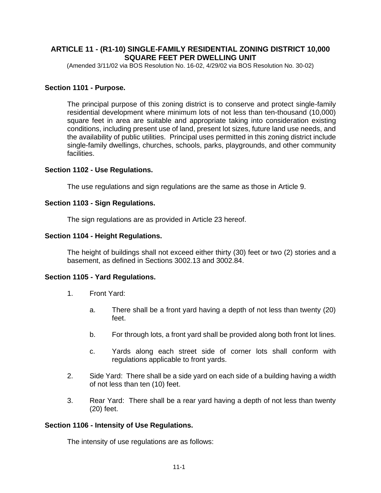# **ARTICLE 11 - (R1-10) SINGLE-FAMILY RESIDENTIAL ZONING DISTRICT 10,000 SQUARE FEET PER DWELLING UNIT**

(Amended 3/11/02 via BOS Resolution No. 16-02, 4/29/02 via BOS Resolution No. 30-02)

#### **Section 1101 - Purpose.**

The principal purpose of this zoning district is to conserve and protect single-family residential development where minimum lots of not less than ten-thousand (10,000) square feet in area are suitable and appropriate taking into consideration existing conditions, including present use of land, present lot sizes, future land use needs, and the availability of public utilities. Principal uses permitted in this zoning district include single-family dwellings, churches, schools, parks, playgrounds, and other community facilities.

#### **Section 1102 - Use Regulations.**

The use regulations and sign regulations are the same as those in Article 9.

## **Section 1103 - Sign Regulations.**

The sign regulations are as provided in Article 23 hereof.

### **Section 1104 - Height Regulations.**

The height of buildings shall not exceed either thirty (30) feet or two (2) stories and a basement, as defined in Sections 3002.13 and 3002.84.

### **Section 1105 - Yard Regulations.**

- 1. Front Yard:
	- a. There shall be a front yard having a depth of not less than twenty (20) feet.
	- b. For through lots, a front yard shall be provided along both front lot lines.
	- c. Yards along each street side of corner lots shall conform with regulations applicable to front yards.
- 2. Side Yard:There shall be a side yard on each side of a building having a width of not less than ten (10) feet.
- 3. Rear Yard:There shall be a rear yard having a depth of not less than twenty (20) feet.

#### **Section 1106 - Intensity of Use Regulations.**

The intensity of use regulations are as follows: